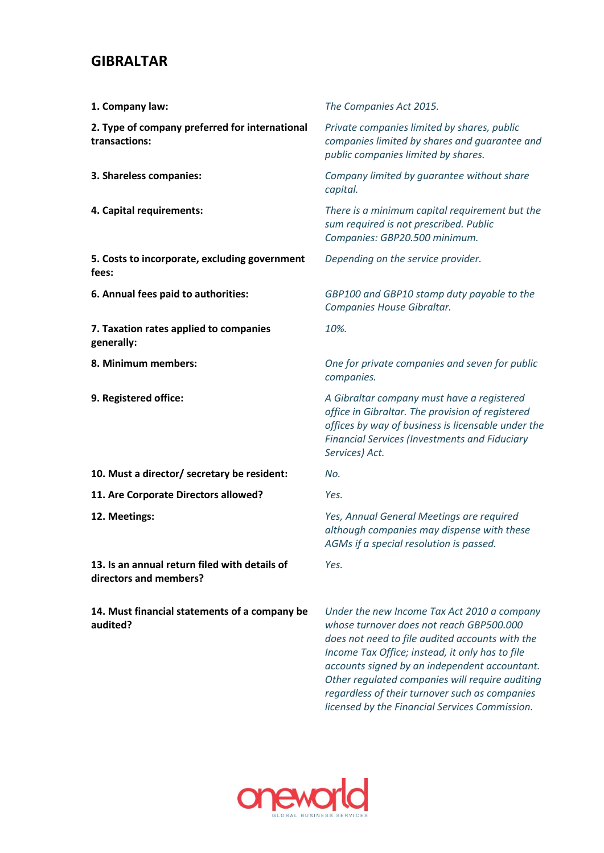## **GIBRALTAR**

| 1. Company law:                                                         | The Companies Act 2015.                                                                                                                                                                                                        |
|-------------------------------------------------------------------------|--------------------------------------------------------------------------------------------------------------------------------------------------------------------------------------------------------------------------------|
| 2. Type of company preferred for international<br>transactions:         | Private companies limited by shares, public<br>companies limited by shares and guarantee and<br>public companies limited by shares.                                                                                            |
| 3. Shareless companies:                                                 | Company limited by guarantee without share<br>capital.                                                                                                                                                                         |
| 4. Capital requirements:                                                | There is a minimum capital requirement but the<br>sum required is not prescribed. Public<br>Companies: GBP20.500 minimum.                                                                                                      |
| 5. Costs to incorporate, excluding government<br>fees:                  | Depending on the service provider.                                                                                                                                                                                             |
| 6. Annual fees paid to authorities:                                     | GBP100 and GBP10 stamp duty payable to the<br>Companies House Gibraltar.                                                                                                                                                       |
| 7. Taxation rates applied to companies<br>generally:                    | 10%.                                                                                                                                                                                                                           |
| 8. Minimum members:                                                     | One for private companies and seven for public<br>companies.                                                                                                                                                                   |
| 9. Registered office:                                                   | A Gibraltar company must have a registered<br>office in Gibraltar. The provision of registered<br>offices by way of business is licensable under the<br><b>Financial Services (Investments and Fiduciary</b><br>Services) Act. |
| 10. Must a director/ secretary be resident:                             | No.                                                                                                                                                                                                                            |
| 11. Are Corporate Directors allowed?                                    | Yes.                                                                                                                                                                                                                           |
| 12. Meetings:                                                           | Yes, Annual General Meetings are required<br>although companies may dispense with these<br>AGMs if a special resolution is passed.                                                                                             |
| 13. Is an annual return filed with details of<br>directors and members? | Yes.                                                                                                                                                                                                                           |
| 14. Must financial statements of a company be<br>audited?               | Under the new Income Tax Act 2010 a company<br>whose turnover does not reach GBP500.000<br>does not need to file audited accounts with the<br>Income Tax Office; instead, it only has to file                                  |



*accounts signed by an independent accountant. Other regulated companies will require auditing regardless of their turnover such as companies licensed by the Financial Services Commission.*